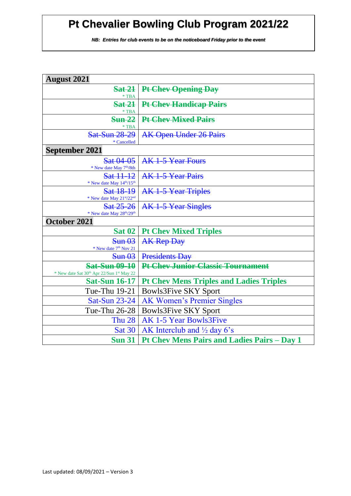| <b>August 2021</b>                                                                        |                                                    |  |
|-------------------------------------------------------------------------------------------|----------------------------------------------------|--|
| <b>Sat 21</b>                                                                             | Pt Chev Opening Day                                |  |
| $*TBA$<br><b>Sat 21</b>                                                                   |                                                    |  |
| $*TBA$                                                                                    | <b>Pt Chev Handicap Pairs</b>                      |  |
| <b>Sun 22</b>                                                                             | <b>Pt Chev Mixed Pairs</b>                         |  |
| $*$ TBA                                                                                   |                                                    |  |
| <b>Sat-Sun 28-29</b><br>* Cancelled                                                       | <b>AK Open Under 26 Pairs</b>                      |  |
| <b>September 2021</b>                                                                     |                                                    |  |
| Sat 04-05                                                                                 | AK 1-5 Year Fours                                  |  |
| * New date May 7 <sup>th</sup> /8th                                                       |                                                    |  |
| Sat 11-12                                                                                 | <b>AK 1-5 Year Pairs</b>                           |  |
| * New date May $14^{th}/15^{th}$                                                          |                                                    |  |
| Sat 18-19<br>* New date May 21st/22nd                                                     | <b>AK 1-5 Year Triples</b>                         |  |
| Sat 25-26                                                                                 | AK 1-5 Year Singles                                |  |
| * New date May 28th/29th                                                                  |                                                    |  |
| October 2021                                                                              |                                                    |  |
| <b>Sat 02</b>                                                                             | <b>Pt Chev Mixed Triples</b>                       |  |
| $Sun \theta3$                                                                             | <b>AK Rep Day</b>                                  |  |
| * New date 7 <sup>th</sup> Nov 21                                                         |                                                    |  |
| $Sun \theta3$                                                                             | <b>Presidents Day</b>                              |  |
| <b>Sat-Sun 09-10</b><br>* New date Sat 30 <sup>th</sup> Apr 22/Sun 1 <sup>st</sup> May 22 | <b>Pt Chev Junior Classic Tournament</b>           |  |
| <b>Sat-Sun 16-17</b>                                                                      | <b>Pt Chev Mens Triples and Ladies Triples</b>     |  |
| Tue-Thu 19-21                                                                             | <b>Bowls3Five SKY Sport</b>                        |  |
| <b>Sat-Sun 23-24</b>                                                                      | <b>AK Women's Premier Singles</b>                  |  |
| Tue-Thu 26-28                                                                             | <b>Bowls3Five SKY Sport</b>                        |  |
| <b>Thu 28</b>                                                                             | <b>AK 1-5 Year Bowls3Five</b>                      |  |
| <b>Sat 30</b>                                                                             | AK Interclub and $\frac{1}{2}$ day 6's             |  |
| <b>Sun 31</b>                                                                             | <b>Pt Chev Mens Pairs and Ladies Pairs - Day 1</b> |  |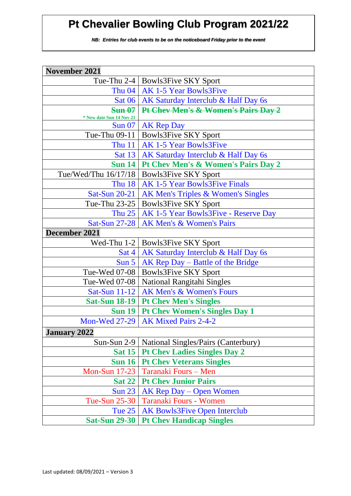| <b>November 2021</b>     |                                               |
|--------------------------|-----------------------------------------------|
|                          | Tue-Thu 2-4   Bowls3Five SKY Sport            |
|                          | Thu 04   AK 1-5 Year Bowls3Five               |
|                          | Sat 06   AK Saturday Interclub & Half Day 6s  |
| Sun 07                   | Pt Chev Men's & Women's Pairs Day 2           |
| * New date Sun 14 Nov 21 |                                               |
| <b>Sun 07</b>            | <b>AK Rep Day</b>                             |
|                          | Tue-Thu 09-11   Bowls3Five SKY Sport          |
|                          | Thu 11   AK 1-5 Year Bowls3Five               |
|                          | Sat 13   AK Saturday Interclub & Half Day 6s  |
| Sun $14$                 | Pt Chev Men's & Women's Pairs Day 2           |
|                          | Tue/Wed/Thu 16/17/18   Bowls3Five SKY Sport   |
| <b>Thu 18</b>            | <b>AK 1-5 Year Bowls3Five Finals</b>          |
| Sat-Sun $20-21$          | AK Men's Triples & Women's Singles            |
|                          | Tue-Thu 23-25   Bowls3Five SKY Sport          |
| Thu $25$                 | AK 1-5 Year Bowls3Five - Reserve Day          |
| <b>Sat-Sun 27-28</b>     | AK Men's & Women's Pairs                      |
| December 2021            |                                               |
|                          | Wed-Thu 1-2   Bowls3Five SKY Sport            |
| $\operatorname{Sat}4$    | AK Saturday Interclub & Half Day 6s           |
| Sun 5                    | $AK Rep$ Day – Battle of the Bridge           |
| Tue-Wed 07-08            | <b>Bowls3Five SKY Sport</b>                   |
| Tue-Wed 07-08            | <b>National Rangitahi Singles</b>             |
| Sat-Sun $11-12$          | AK Men's & Women's Fours                      |
|                          | Sat-Sun 18-19   Pt Chev Men's Singles         |
|                          | <b>Sun 19   Pt Chev Women's Singles Day 1</b> |
|                          | Mon-Wed 27-29   AK Mixed Pairs 2-4-2          |
| <b>January 2022</b>      |                                               |
| $Sun-Sun 2-9$            | National Singles/Pairs (Canterbury)           |
| <b>Sat 15</b>            | <b>Pt Chev Ladies Singles Day 2</b>           |
| <b>Sun 16</b>            | <b>Pt Chev Veterans Singles</b>               |
| <b>Mon-Sun 17-23</b>     | Taranaki Fours - Men                          |
| <b>Sat 22</b>            | <b>Pt Chev Junior Pairs</b>                   |
| <b>Sun 23</b>            | AK Rep Day – Open Women                       |
| Tue-Sun 25-30            | Taranaki Fours - Women                        |
| Tue 25                   | <b>AK Bowls3Five Open Interclub</b>           |
| <b>Sat-Sun 29-30</b>     | <b>Pt Chev Handicap Singles</b>               |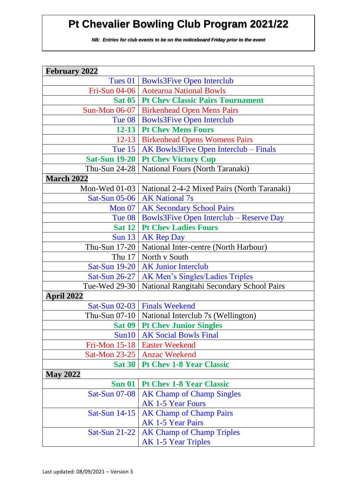| <b>February 2022</b> |                                                             |  |
|----------------------|-------------------------------------------------------------|--|
|                      | Tues 01   Bowls3Five Open Interclub                         |  |
|                      | Fri-Sun 04-06   Aotearoa National Bowls                     |  |
|                      | <b>Sat 05   Pt Chev Classic Pairs Tournament</b>            |  |
|                      | Sun-Mon 06-07   Birkenhead Open Mens Pairs                  |  |
|                      | Tue 08   Bowls3Five Open Interclub                          |  |
|                      | <b>12-13 Pt Chev Mens Fours</b>                             |  |
|                      | 12-13   Birkenhead Opens Womens Pairs                       |  |
|                      | Tue 15   AK Bowls3Five Open Interclub – Finals              |  |
|                      | Sat-Sun 19-20   Pt Chev Victory Cup                         |  |
|                      | Thu-Sun 24-28   National Fours (North Taranaki)             |  |
| <b>March 2022</b>    |                                                             |  |
|                      | Mon-Wed 01-03   National 2-4-2 Mixed Pairs (North Taranaki) |  |
|                      | Sat-Sun 05-06   AK National 7s                              |  |
|                      | Mon 07   AK Secondary School Pairs                          |  |
|                      | Tue $08$   Bowls3Five Open Interclub – Reserve Day          |  |
|                      | <b>Sat 12   Pt Chev Ladies Fours</b>                        |  |
|                      | Sun 13   AK Rep Day                                         |  |
|                      | Thu-Sun 17-20   National Inter-centre (North Harbour)       |  |
|                      | Thu 17   North v South                                      |  |
|                      | Sat-Sun 19-20   AK Junior Interclub                         |  |
|                      | Sat-Sun 26-27   AK Men's Singles/Ladies Triples             |  |
|                      | Tue-Wed 29-30   National Rangitahi Secondary School Pairs   |  |
| <b>April 2022</b>    |                                                             |  |
|                      | Sat-Sun 02-03   Finals Weekend                              |  |
|                      | Thu-Sun 07-10   National Interclub 7s (Wellington)          |  |
|                      | <b>Sat 09   Pt Chev Junior Singles</b>                      |  |
| Sun10                | <b>AK Social Bowls Final</b>                                |  |
|                      | Fri-Mon 15-18   Easter Weekend                              |  |
|                      | Sat-Mon 23-25   Anzac Weekend                               |  |
|                      | Sat 30   Pt Chev 1-8 Year Classic                           |  |
| <b>May 2022</b>      |                                                             |  |
|                      | <b>Sun 01 Pt Chev 1-8 Year Classic</b>                      |  |
| <b>Sat-Sun 07-08</b> | <b>AK Champ of Champ Singles</b>                            |  |
|                      | <b>AK 1-5 Year Fours</b>                                    |  |
| Sat-Sun $14-15$      | <b>AK Champ of Champ Pairs</b>                              |  |
|                      | <b>AK 1-5 Year Pairs</b>                                    |  |
| <b>Sat-Sun 21-22</b> | <b>AK Champ of Champ Triples</b>                            |  |
|                      | <b>AK 1-5 Year Triples</b>                                  |  |